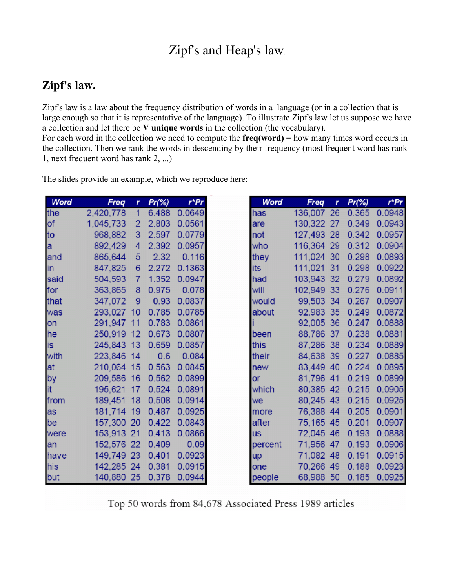# Zipf's and Heap's law.

## **Zipf's law.**

Zipf's law is a law about the frequency distribution of words in a language (or in a collection that is large enough so that it is representative of the language). To illustrate Zipf's law let us suppose we have a collection and let there be **V unique words** in the collection (the vocabulary).

For each word in the collection we need to compute the  $freq(word)$  = how many times word occurs in the collection. Then we rank the words in descending by their frequency (most frequent word has rank 1, next frequent word has rank 2, ...)

| Word      | Freq       | r                | Pr(%) | $r$ * $Pr$ |
|-----------|------------|------------------|-------|------------|
| the       | 2,420,778  | 1                | 6.488 | 0.0649     |
| <b>of</b> | 1,045,733  | 2                | 2.803 | 0.0561     |
| to        | 968,882    | 3                | 2.597 | 0.0779     |
| la        | 892,429    | 4                | 2.392 | 0.0957     |
| land      | 865,644    | 5                | 2.32  | 0.116      |
| lin       | 847,825    | 6                | 2.272 | 0.1363     |
| said      | 504,593    | 7                | 1.352 | 0.0947     |
| for       | 363,865    | 8                | 0.975 | 0.078      |
| that      | 347,072    | 9                | 0.93  | 0.0837     |
| was       | 293,027    | 10               | 0.785 | 0.0785     |
| lon       | 291,947    | 11               | 0.783 | 0.0861     |
| he        | 250,919    | 12 <sup>2</sup>  | 0.673 | 0.0807     |
| is        | 245,843    | 13               | 0.659 | 0.0857     |
| with      | 223,846    | 14               | 0.6   | 0.084      |
| lat       | 210,064    | 15 <sub>15</sub> | 0.563 | 0.0845     |
| by        | 209,586    | 16               | 0.562 | 0.0899     |
| lit       | 195,621    | 17               | 0.524 | 0.0891     |
| from      | 189,451    | 18               | 0.508 | 0.0914     |
| as        | 181,714    | 19               | 0.487 | 0.0925     |
| be        | 157,300    | 20               | 0.422 | 0.0843     |
| were      | 153,913    | 21               | 0.413 | 0.0866     |
| lan       | 152,576 22 |                  | 0.409 | 0.09       |
| have      | 149,749    | 23               | 0.401 | 0.0923     |
| his       | 142,285 24 |                  | 0.381 | 0.0915     |
| but       | 140,880 25 |                  | 0.378 | 0.0944     |

The slides provide an example, which we reproduce here:

| Word      | Freq    | r  | $Pr(\% )$ | $r$ <sup>*</sup> $Pr$ |
|-----------|---------|----|-----------|-----------------------|
| has       | 136,007 | 26 | 0.365     | 0.0948                |
| are       | 130,322 | 27 | 0.349     | 0.0943                |
| not       | 127,493 | 28 | 0.342     | 0.0957                |
| who       | 116,364 | 29 | 0.312     | 0.0904                |
| they      | 111,024 | 30 | 0.298     | 0.0893                |
| its       | 111,021 | 31 | 0.298     | 0.0922                |
| had       | 103.943 | 32 | 0.279     | 0.0892                |
| will      | 102,949 | 33 | 0.276     | 0.0911                |
| would     | 99,503  | 34 | 0.267     | 0.0907                |
| about     | 92,983  | 35 | 0.249     | 0.0872                |
|           | 92,005  | 36 | 0.247     | 0.0888                |
| been      | 88,786  | 37 | 0.238     | 0.0881                |
| this      | 87,286  | 38 | 0.234     | 0.0889                |
| their     | 84,638  | 39 | 0.227     | 0.0885                |
| new       | 83,449  | 40 | 0.224     | 0.0895                |
| or        | 81,796  | 41 | 0.219     | 0.0899                |
| which     | 80,385  | 42 | 0.215     | 0.0905                |
| we        | 80,245  | 43 | 0.215     | 0.0925                |
| more      | 76,388  | 44 | 0.205     | 0.0901                |
| after     | 75,165  | 45 | 0.201     | 0.0907                |
| <b>US</b> | 72,045  | 46 | 0.193     | 0.0888                |
| percent   | 71,956  | 47 | 0.193     | 0.0906                |
| up        | 71,082  | 48 | 0.191     | 0.0915                |
| one       | 70,266  | 49 | 0.188     | 0.0923                |
| people    | 68,988  | 50 | 0.185     | 0.0925                |

Top 50 words from 84,678 Associated Press 1989 articles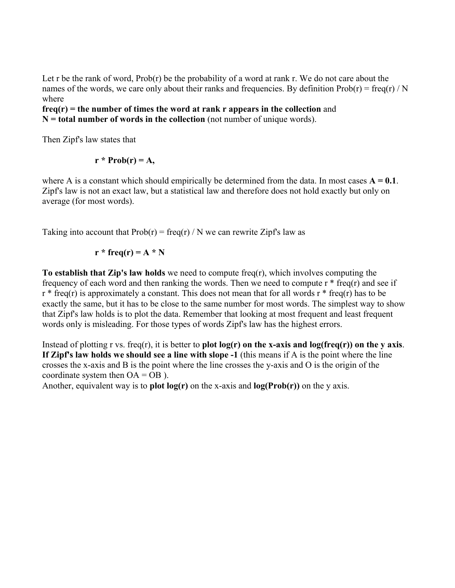Let r be the rank of word,  $Prob(r)$  be the probability of a word at rank r. We do not care about the names of the words, we care only about their ranks and frequencies. By definition  $Prob(r) = freq(r) / N$ where

**freq(r) = the number of times the word at rank r appears in the collection** and **N = total number of words in the collection** (not number of unique words).

Then Zipf's law states that

 $r * Prob(r) = A$ ,

where A is a constant which should empirically be determined from the data. In most cases  $A = 0.1$ . Zipf's law is not an exact law, but a statistical law and therefore does not hold exactly but only on average (for most words).

Taking into account that  $Prob(r) = freq(r) / N$  we can rewrite Zipf's law as

$$
r * freq(r) = A * N
$$

**To establish that Zip's law holds** we need to compute freq(r), which involves computing the frequency of each word and then ranking the words. Then we need to compute  $r * freq(r)$  and see if  $r * freq(r)$  is approximately a constant. This does not mean that for all words  $r * freq(r)$  has to be exactly the same, but it has to be close to the same number for most words. The simplest way to show that Zipf's law holds is to plot the data. Remember that looking at most frequent and least frequent words only is misleading. For those types of words Zipf's law has the highest errors.

Instead of plotting r vs. freq(r), it is better to **plot log(r) on the x-axis and log(freq(r)) on the y axis**. **If Zipf's law holds we should see a line with slope -1** (this means if A is the point where the line crosses the x-axis and B is the point where the line crosses the y-axis and O is the origin of the coordinate system then  $OA = OB$  ).

Another, equivalent way is to **plot log(r)** on the x-axis and **log(Prob(r))** on the y axis.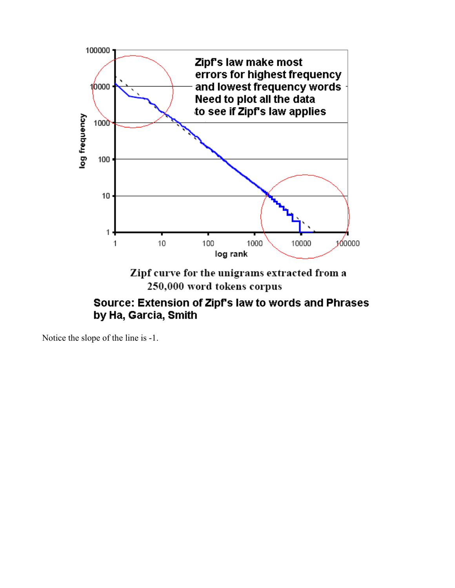

## Source: Extension of Zipf's law to words and Phrases by Ha, Garcia, Smith

Notice the slope of the line is -1.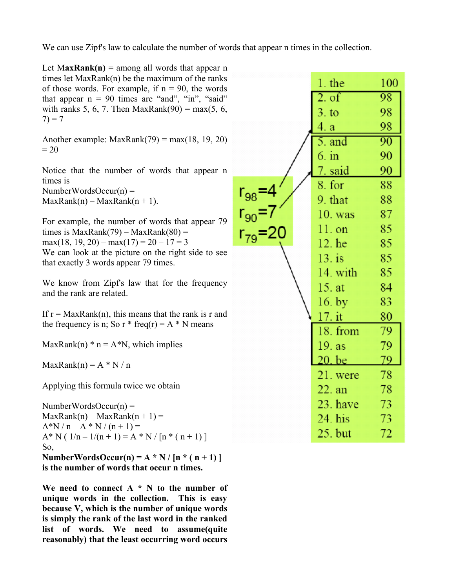We can use Zipf's law to calculate the number of words that appear n times in the collection.

| Let $MaxRank(n) =$ among all words that appear n<br>times let $MaxRank(n)$ be the maximum of the ranks |                                               |                |     |
|--------------------------------------------------------------------------------------------------------|-----------------------------------------------|----------------|-----|
| of those words. For example, if $n = 90$ , the words                                                   |                                               | $1.$ the       | 100 |
| that appear $n = 90$ times are "and", "in", "said"                                                     |                                               | 2. of          | 98  |
| with ranks 5, 6, 7. Then MaxRank $(90)$ = max $(5, 6, 7)$<br>$7) = 7$                                  |                                               | 3.10           | 98  |
|                                                                                                        |                                               | 4. a           | 98  |
| Another example: $MaxRank(79) = max(18, 19, 20)$                                                       |                                               | 5. and         | 90  |
| $= 20$                                                                                                 |                                               | $6. \text{in}$ | 90  |
| Notice that the number of words that appear n                                                          |                                               | 7. said        | 90  |
| times is                                                                                               |                                               | 8. for         | 88  |
| NumberWordsOccur(n) =<br>$MaxRank(n) - MaxRank(n + 1).$                                                |                                               | 9. that        | 88  |
|                                                                                                        | $r_{98} = 4$<br>$r_{90} = 7$<br>$r_{79} = 20$ | $10.$ was      | 87  |
| For example, the number of words that appear 79<br>times is $MaxRank(79) - MaxRank(80) =$              |                                               | $11.$ on       | 85  |
| $max(18, 19, 20) - max(17) = 20 - 17 = 3$                                                              |                                               | 12. he         | 85  |
| We can look at the picture on the right side to see                                                    |                                               | $13.$ is       | 85  |
| that exactly 3 words appear 79 times.                                                                  |                                               | 14. with       | 85  |
| We know from Zipf's law that for the frequency<br>and the rank are related.                            |                                               | 15. at         | 84  |
|                                                                                                        |                                               |                | 83  |
| If $r = MaxRank(n)$ , this means that the rank is r and                                                |                                               | $16.$ by       |     |
| the frequency is n; So r $*$ freq(r) = A $*$ N means                                                   |                                               | $17.$ it       | 80  |
|                                                                                                        |                                               | 18. from       | 79  |
| MaxRank(n) $*$ n = A $*$ N, which implies                                                              |                                               | 19. as         | 79  |
| $MaxRank(n) = A * N / n$                                                                               |                                               | 20. be         | 79  |
|                                                                                                        |                                               | 21. were       | 78  |
| Applying this formula twice we obtain                                                                  |                                               | 22. an         | 78  |
| NumberWordsOccur(n) =                                                                                  |                                               | 23. have       | 73  |
| $MaxRank(n) - MaxRank(n + 1) =$                                                                        |                                               | $24.$ his      | 73. |
| $A*N/n-A*N/(n+1) =$<br>$A^* N (1/n - 1/(n + 1)) = A^* N / [n^* (n + 1)]$                               |                                               | 25. but        | 72  |
| So,                                                                                                    |                                               |                |     |
| NumberWordsOccur(n) = $A * N / [n * (n + 1)]$                                                          |                                               |                |     |
| is the number of words that occur n times.                                                             |                                               |                |     |

**We need to connect A \* N to the number of unique words in the collection. This is easy because V, which is the number of unique words is simply the rank of the last word in the ranked list of words. We need to assume(quite reasonably) that the least occurring word occurs**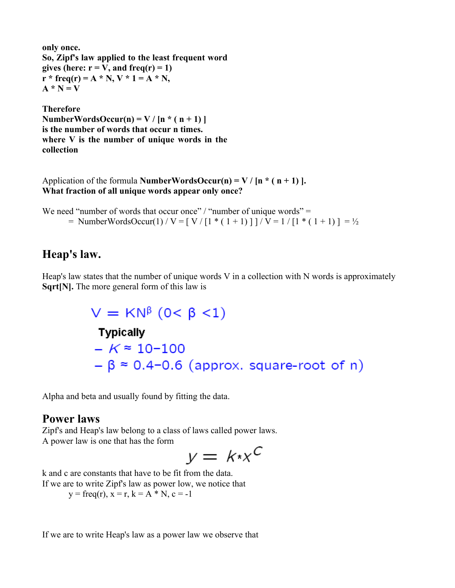```
only once.
So, Zipf's law applied to the least frequent word
gives (here: r = V, and freq(r) = 1)
r * freq(r) = A * N, V * 1 = A * N,A * N = V
```
**Therefore NumberWordsOccur(n) = V /**  $[n * (n + 1)]$ **is the number of words that occur n times. where V is the number of unique words in the collection**

Application of the formula **NumberWordsOccur(n)** =  $V / [n * (n + 1)].$ **What fraction of all unique words appear only once?**

We need "number of words that occur once" / "number of unique words" =  $=$  NumberWordsOccur(1) / V = [ V / [1 \* ( 1 + 1) ] ] / V = 1 / [1 \* ( 1 + 1) ] = ½

## **Heap's law.**

Heap's law states that the number of unique words V in a collection with N words is approximately **Sqrt[N].** The more general form of this law is

```
V = KN<sup>β</sup> (0 < β < 1)Typically
-K \approx 10 - 100-\beta \approx 0.4 - 0.6 (approx. square-root of n)
```
Alpha and beta and usually found by fitting the data.

## **Power laws**

Zipf's and Heap's law belong to a class of laws called power laws. A power law is one that has the form

$$
y = k \cdot x^C
$$

k and c are constants that have to be fit from the data. If we are to write Zipf's law as power low, we notice that  $y = freq(r), x = r, k = A * N, c = -1$ 

If we are to write Heap's law as a power law we observe that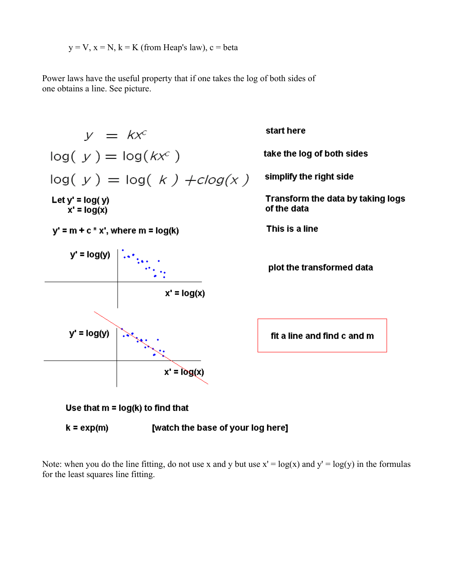$$
y = V
$$
,  $x = N$ ,  $k = K$  (from Heap's law),  $c = beta$ 

Power laws have the useful property that if one takes the log of both sides of one obtains a line. See picture.



Note: when you do the line fitting, do not use x and y but use  $x' = log(x)$  and  $y' = log(y)$  in the formulas for the least squares line fitting.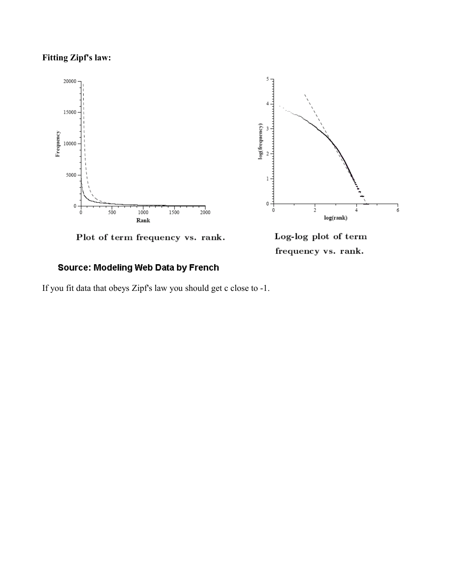#### **Fitting Zipf's law:**





Plot of term frequency vs. rank.

frequency vs. rank.

#### Source: Modeling Web Data by French

If you fit data that obeys Zipf's law you should get c close to -1.